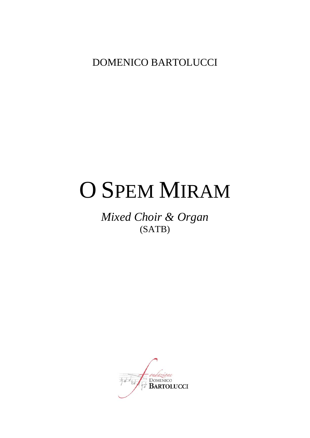DOMENICO BARTOLUCCI

## O SPEM MIRAM

*Mixed Choir & Organ*  (SATB)

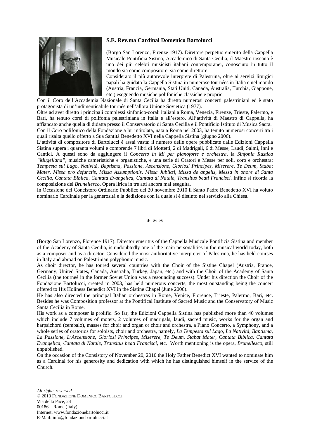

## **S.E. Rev.ma Cardinal Domenico Bartolucci**

(Borgo San Lorenzo, Firenze 1917). Direttore perpetuo emerito della Cappella Musicale Pontificia Sistina, Accademico di Santa Cecilia, il Maestro toscano è uno dei più celebri musicisti italiani contemporanei, conosciuto in tutto il mondo sia come compositore, sia come direttore.

Considerato il più autorevole interprete di Palestrina, oltre ai servizi liturgici papali ha guidato la Cappella Sistina in numerose tournées in Italia e nel mondo (Austria, Francia, Germania, Stati Uniti, Canada, Australia, Turchia, Giappone, etc.) eseguendo musiche polifoniche classiche e proprie.

Con il Coro dell'Accademia Nazionale di Santa Cecilia ha diretto numerosi concerti palestriniani ed è stato protagonista di un'indimenticabile tournée nell'allora Unione Sovietica (1977).

Oltre ad aver diretto i principali complessi sinfonico-corali italiani a Roma, Venezia, Firenze, Trieste, Palermo, e Bari, ha tenuto corsi di polifonia palestriniana in Italia e all'estero. All'attività di Maestro di Cappella, ha affiancato anche quella di didatta presso il Conservatorio di Santa Cecilia e il Pontificio Istituto di Musica Sacra. Con il Coro polifonico della Fondazione a lui intitolata, nata a Roma nel 2003, ha tenuto numerosi concerti tra i quali risalta quello offerto a Sua Santità Benedetto XVI nella Cappella Sistina (giugno 2006).

L'attività di compositore di Bartolucci è assai vasta: il numero delle opere pubblicate dalle Edizioni Cappella Sistina supera i quaranta volumi e comprende 7 libri di Mottetti, 2 di Madrigali, 6 di Messe, Laudi, Salmi, Inni e Cantici. A questi sono da aggiungere il *Concerto in Mi per pianoforte e orchestra*, la *Sinfonia Rustica "Mugellana"*, musiche cameristiche e organistiche, e una serie di Oratori e Messe per soli, coro e orchestra: *Tempesta sul Lago, Natività, Baptisma, Passione, Ascensione, Gloriosi Principes, Miserere, Te Deum, Stabat Mater, Missa pro defunctis, Missa Assumptionis, Missa Jubilæi, Missa de angelis, Messa in onore di Santa Cecilia, Cantata Biblica, Cantata Evangelica, Cantata di Natale, Transitus beati Francisci*. Infine si ricorda la composizione del *Brunellesco*, Opera lirica in tre atti ancora mai eseguita.

In Occasione del Concistoro Ordinario Pubblico del 20 novembre 2010 il Santo Padre Benedetto XVI ha voluto nominarlo Cardinale per la generosità e la dedizione con la quale si è distinto nel servizio alla Chiesa.

\* \* \*

(Borgo San Lorenzo, Florence 1917). Director emeritus of the Cappella Musicale Pontificia Sistina and member of the Academy of Santa Cecilia, is undoubtedly one of the main personalities in the musical world today, both as a composer and as a director. Considered the most authoritative interpreter of Palestrina, he has held courses in Italy and abroad on Palestrinian polyphonic music.

As choir director, he has toured several countries with the Choir of the Sistine Chapel (Austria, France, Germany, United States, Canada, Australia, Turkey, Japan, etc.) and with the Choir of the Academy of Santa Cecilia (the tourneè in the former Soviet Union was a resounding success). Under his direction the Choir of the Fondazione Bartolucci, created in 2003, has held numerous concerts, the most outstanding being the concert offered to His Holiness Benedict XVI in the Sistine Chapel (June 2006).

He has also directed the principal Italian orchestras in Rome, Venice, Florence, Trieste, Palermo, Bari, etc. Besides he was Composition professor at the Pontifical Institute of Sacred Music and the Conservatory of Music Santa Cecilia in Rome.

His work as a composer is prolific. So far, the Edizioni Cappella Sistina has published more than 40 volumes which include 7 volumes of motets, 2 volumes of madrigals, laudi, sacred music, works for the organ and harpsichord (cembalo), masses for choir and organ or choir and orchestra, a Piano Concerto, a Symphony, and a whole series of oratorios for soloists, choir and orchestra, namely, *La Tempesta sul Lago, La Natività, Baptisma, La Passione, L'Ascensione, Gloriosi Principes, Miserere, Te Deum, Stabat Mater, Cantata Biblica, Cantata Evangelica, Cantata di Natale, Transitus beati Francisci*, etc. Worth mentioning is the opera, *Brunellesco*, still unpublished.

On the occasion of the Consistory of November 20, 2010 the Holy Father Benedict XVI wanted to nominate him as a Cardinal for his generosity and dedication with which he has distinguished himself in the service of the Church.

*All rights reserved*  © 2013 FONDAZIONE DOMENICO BARTOLUCCI Via della Pace, 24 00186 – Rome (Italy) Internet: www.fondazionebartolucci.it E-Mail: info@fondazionebartolucci.it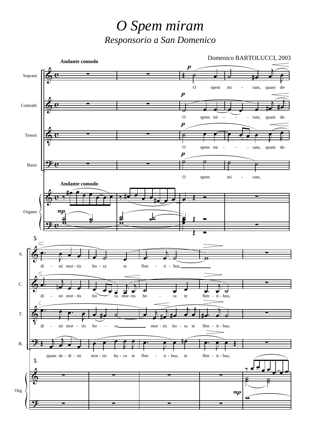*O Spem miram Responsorio a San Domenico*

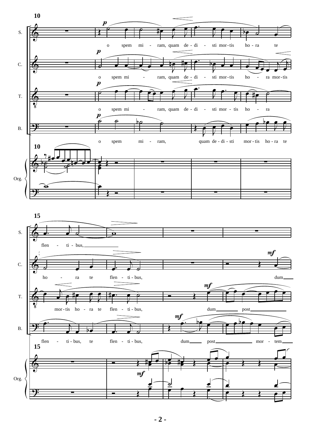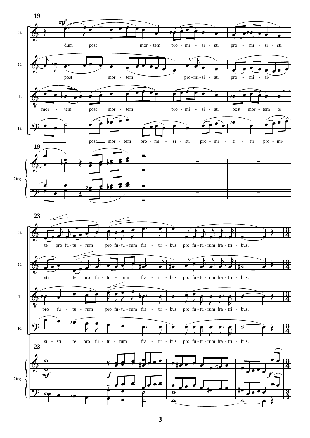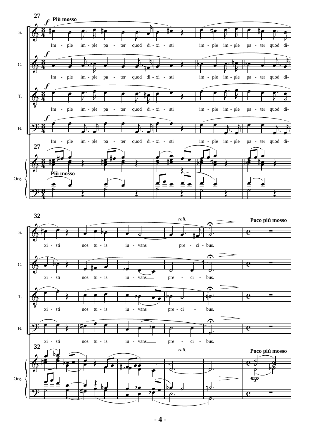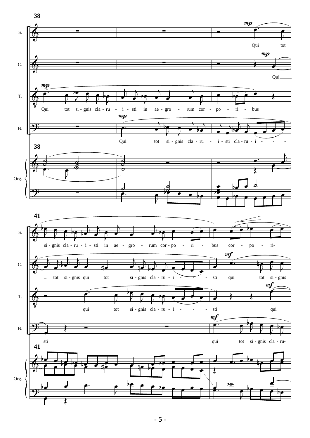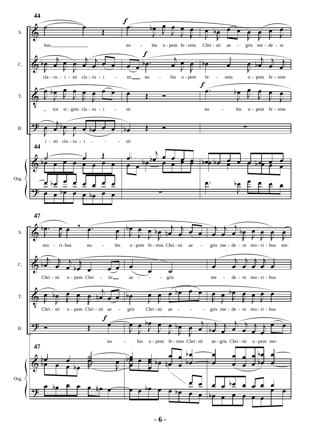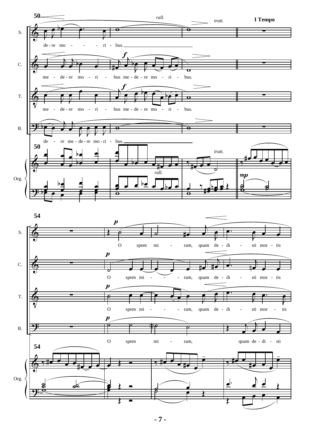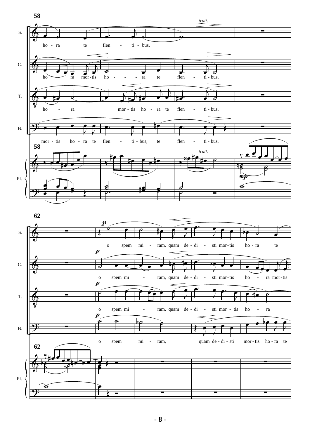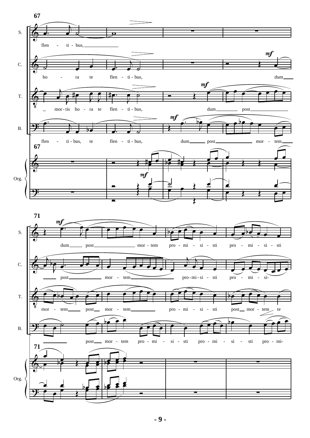

**- 9 -**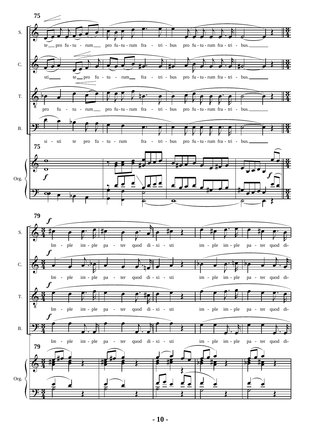